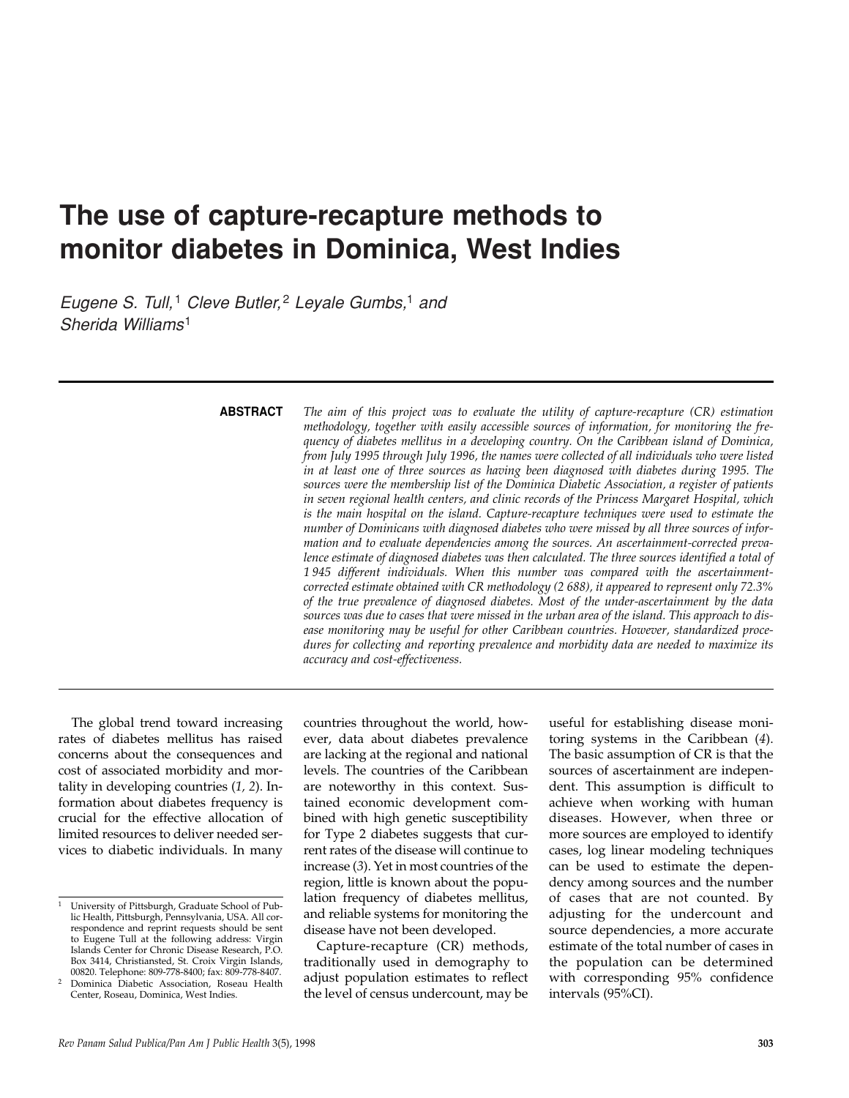# **The use of capture-recapture methods to monitor diabetes in Dominica, West Indies**

*Eugene S. Tull,<sup>1</sup> Cleve Butler*,<sup>2</sup> *Leyale Gumbs*,<sup>1</sup> *and Sherida Williams*<sup>1</sup>

### **ABSTRACT**

*The aim of this project was to evaluate the utility of capture-recapture (CR) estimation methodology, together with easily accessible sources of information, for monitoring the frequency of diabetes mellitus in a developing country. On the Caribbean island of Dominica, from July 1995 through July 1996, the names were collected of all individuals who were listed in at least one of three sources as having been diagnosed with diabetes during 1995. The sources were the membership list of the Dominica Diabetic Association, a register of patients in seven regional health centers, and clinic records of the Princess Margaret Hospital, which is the main hospital on the island. Capture-recapture techniques were used to estimate the number of Dominicans with diagnosed diabetes who were missed by all three sources of information and to evaluate dependencies among the sources. An ascertainment-corrected prevalence estimate of diagnosed diabetes was then calculated. The three sources identified a total of 1 945 different individuals. When this number was compared with the ascertainmentcorrected estimate obtained with CR methodology (2 688), it appeared to represent only 72.3% of the true prevalence of diagnosed diabetes. Most of the under-ascertainment by the data sources was due to cases that were missed in the urban area of the island. This approach to disease monitoring may be useful for other Caribbean countries. However, standardized procedures for collecting and reporting prevalence and morbidity data are needed to maximize its accuracy and cost-effectiveness.* 

The global trend toward increasing rates of diabetes mellitus has raised concerns about the consequences and cost of associated morbidity and mortality in developing countries (*1, 2*). Information about diabetes frequency is crucial for the effective allocation of limited resources to deliver needed services to diabetic individuals. In many

countries throughout the world, however, data about diabetes prevalence are lacking at the regional and national levels. The countries of the Caribbean are noteworthy in this context. Sustained economic development combined with high genetic susceptibility for Type 2 diabetes suggests that current rates of the disease will continue to increase (*3*). Yet in most countries of the region, little is known about the population frequency of diabetes mellitus, and reliable systems for monitoring the disease have not been developed.

Capture-recapture (CR) methods, traditionally used in demography to adjust population estimates to reflect the level of census undercount, may be

useful for establishing disease monitoring systems in the Caribbean (*4*). The basic assumption of CR is that the sources of ascertainment are independent. This assumption is difficult to achieve when working with human diseases. However, when three or more sources are employed to identify cases, log linear modeling techniques can be used to estimate the dependency among sources and the number of cases that are not counted. By adjusting for the undercount and source dependencies, a more accurate estimate of the total number of cases in the population can be determined with corresponding 95% confidence intervals (95%CI).

<sup>1</sup> University of Pittsburgh, Graduate School of Public Health, Pittsburgh, Pennsylvania, USA. All correspondence and reprint requests should be sent to Eugene Tull at the following address: Virgin Islands Center for Chronic Disease Research, P.O. Box 3414, Christiansted, St. Croix Virgin Islands, 00820. Telephone: 809-778-8400; fax: 809-778-8407.

<sup>2</sup> Dominica Diabetic Association, Roseau Health Center, Roseau, Dominica, West Indies.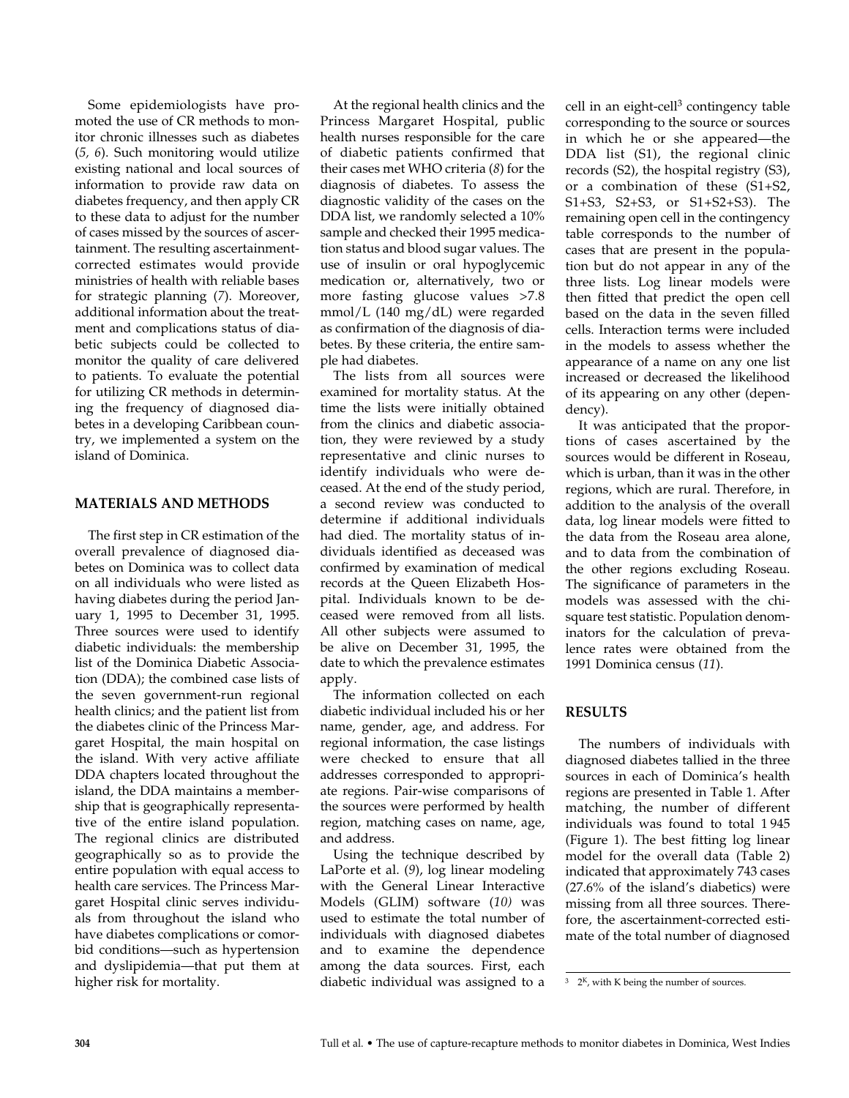Some epidemiologists have promoted the use of CR methods to monitor chronic illnesses such as diabetes (*5, 6*). Such monitoring would utilize existing national and local sources of information to provide raw data on diabetes frequency, and then apply CR to these data to adjust for the number of cases missed by the sources of ascertainment. The resulting ascertainmentcorrected estimates would provide ministries of health with reliable bases for strategic planning (*7*). Moreover, additional information about the treatment and complications status of diabetic subjects could be collected to monitor the quality of care delivered to patients. To evaluate the potential for utilizing CR methods in determining the frequency of diagnosed diabetes in a developing Caribbean country, we implemented a system on the island of Dominica.

# **MATERIALS AND METHODS**

The first step in CR estimation of the overall prevalence of diagnosed diabetes on Dominica was to collect data on all individuals who were listed as having diabetes during the period January 1, 1995 to December 31, 1995. Three sources were used to identify diabetic individuals: the membership list of the Dominica Diabetic Association (DDA); the combined case lists of the seven government-run regional health clinics; and the patient list from the diabetes clinic of the Princess Margaret Hospital, the main hospital on the island. With very active affiliate DDA chapters located throughout the island, the DDA maintains a membership that is geographically representative of the entire island population. The regional clinics are distributed geographically so as to provide the entire population with equal access to health care services. The Princess Margaret Hospital clinic serves individuals from throughout the island who have diabetes complications or comorbid conditions—such as hypertension and dyslipidemia—that put them at higher risk for mortality.

At the regional health clinics and the Princess Margaret Hospital, public health nurses responsible for the care of diabetic patients confirmed that their cases met WHO criteria (*8*) for the diagnosis of diabetes. To assess the diagnostic validity of the cases on the DDA list, we randomly selected a 10% sample and checked their 1995 medication status and blood sugar values. The use of insulin or oral hypoglycemic medication or, alternatively, two or more fasting glucose values >7.8 mmol/L (140 mg/dL) were regarded as confirmation of the diagnosis of diabetes. By these criteria, the entire sample had diabetes.

The lists from all sources were examined for mortality status. At the time the lists were initially obtained from the clinics and diabetic association, they were reviewed by a study representative and clinic nurses to identify individuals who were deceased. At the end of the study period, a second review was conducted to determine if additional individuals had died. The mortality status of individuals identified as deceased was confirmed by examination of medical records at the Queen Elizabeth Hospital. Individuals known to be deceased were removed from all lists. All other subjects were assumed to be alive on December 31, 1995, the date to which the prevalence estimates apply.

The information collected on each diabetic individual included his or her name, gender, age, and address. For regional information, the case listings were checked to ensure that all addresses corresponded to appropriate regions. Pair-wise comparisons of the sources were performed by health region, matching cases on name, age, and address.

Using the technique described by LaPorte et al. (*9*), log linear modeling with the General Linear Interactive Models (GLIM) software (*10)* was used to estimate the total number of individuals with diagnosed diabetes and to examine the dependence among the data sources. First, each diabetic individual was assigned to a cell in an eight-cell<sup>3</sup> contingency table corresponding to the source or sources in which he or she appeared—the DDA list (S1), the regional clinic records (S2), the hospital registry (S3), or a combination of these (S1+S2, S1+S3, S2+S3, or S1+S2+S3). The remaining open cell in the contingency table corresponds to the number of cases that are present in the population but do not appear in any of the three lists. Log linear models were then fitted that predict the open cell based on the data in the seven filled cells. Interaction terms were included in the models to assess whether the appearance of a name on any one list increased or decreased the likelihood of its appearing on any other (dependency).

It was anticipated that the proportions of cases ascertained by the sources would be different in Roseau, which is urban, than it was in the other regions, which are rural. Therefore, in addition to the analysis of the overall data, log linear models were fitted to the data from the Roseau area alone, and to data from the combination of the other regions excluding Roseau. The significance of parameters in the models was assessed with the chisquare test statistic. Population denominators for the calculation of prevalence rates were obtained from the 1991 Dominica census (*11*).

## **RESULTS**

The numbers of individuals with diagnosed diabetes tallied in the three sources in each of Dominica's health regions are presented in Table 1. After matching, the number of different individuals was found to total 1 945 (Figure 1). The best fitting log linear model for the overall data (Table 2) indicated that approximately 743 cases (27.6% of the island's diabetics) were missing from all three sources. Therefore, the ascertainment-corrected estimate of the total number of diagnosed

 $3 \quad 2^{K}$ , with K being the number of sources.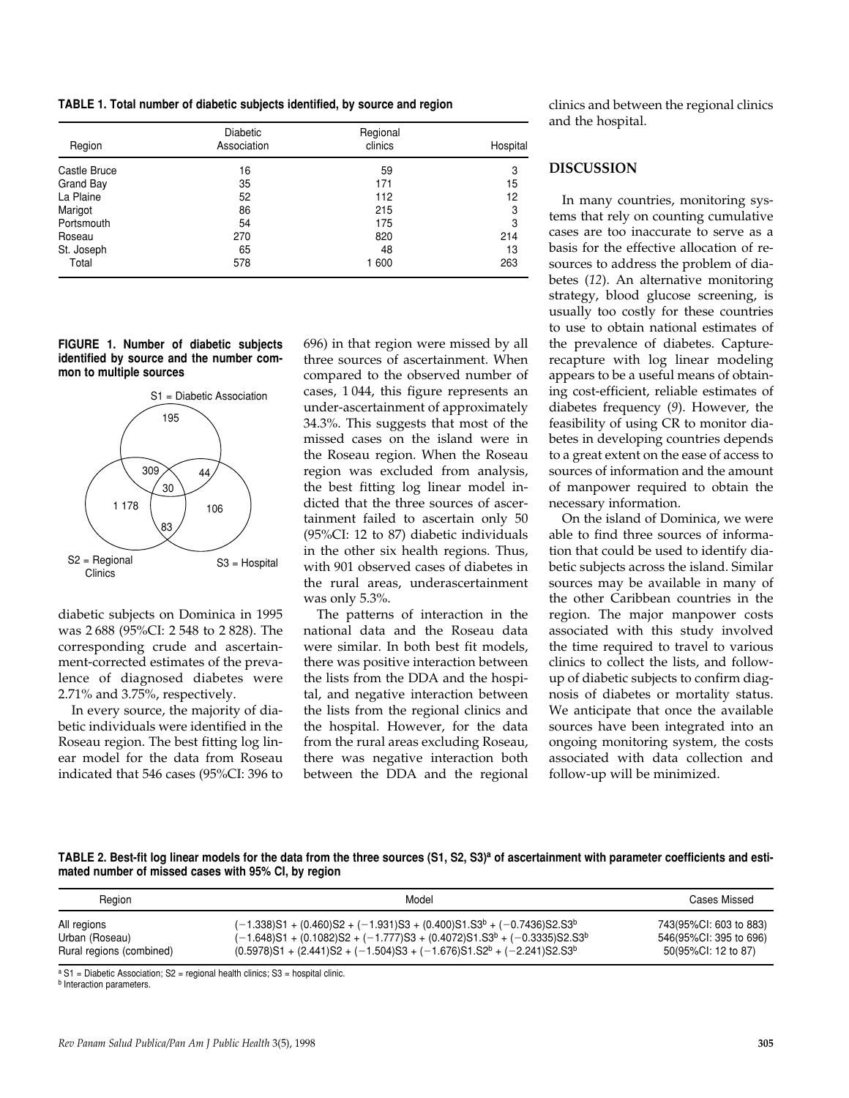**TABLE 1. Total number of diabetic subjects identified, by source and region**

| Region       | <b>Diabetic</b><br>Association | Regional<br>clinics | Hospital |
|--------------|--------------------------------|---------------------|----------|
| Castle Bruce |                                | 59                  | 3        |
|              | 16                             |                     |          |
| Grand Bay    | 35                             | 171                 | 15       |
| La Plaine    | 52                             | 112                 | 12       |
| Marigot      | 86                             | 215                 | 3        |
| Portsmouth   | 54                             | 175                 | 3        |
| Roseau       | 270                            | 820                 | 214      |
| St. Joseph   | 65                             | 48                  | 13       |
| Total        | 578                            | 1 600               | 263      |

**FIGURE 1. Number of diabetic subjects identified by source and the number common to multiple sources**



diabetic subjects on Dominica in 1995 was 2 688 (95%CI: 2 548 to 2 828). The corresponding crude and ascertainment-corrected estimates of the prevalence of diagnosed diabetes were 2.71% and 3.75%, respectively.

In every source, the majority of diabetic individuals were identified in the Roseau region. The best fitting log linear model for the data from Roseau indicated that 546 cases (95%CI: 396 to 696) in that region were missed by all three sources of ascertainment. When compared to the observed number of cases, 1 044, this figure represents an under-ascertainment of approximately 34.3%. This suggests that most of the missed cases on the island were in the Roseau region. When the Roseau region was excluded from analysis, the best fitting log linear model indicted that the three sources of ascertainment failed to ascertain only 50 (95%CI: 12 to 87) diabetic individuals in the other six health regions. Thus, with 901 observed cases of diabetes in the rural areas, underascertainment was only 5.3%.

The patterns of interaction in the national data and the Roseau data were similar. In both best fit models, there was positive interaction between the lists from the DDA and the hospital, and negative interaction between the lists from the regional clinics and the hospital. However, for the data from the rural areas excluding Roseau, there was negative interaction both between the DDA and the regional

clinics and between the regional clinics and the hospital.

# **DISCUSSION**

In many countries, monitoring systems that rely on counting cumulative cases are too inaccurate to serve as a basis for the effective allocation of resources to address the problem of diabetes (*12*). An alternative monitoring strategy, blood glucose screening, is usually too costly for these countries to use to obtain national estimates of the prevalence of diabetes. Capturerecapture with log linear modeling appears to be a useful means of obtaining cost-efficient, reliable estimates of diabetes frequency (*9*). However, the feasibility of using CR to monitor diabetes in developing countries depends to a great extent on the ease of access to sources of information and the amount of manpower required to obtain the necessary information.

On the island of Dominica, we were able to find three sources of information that could be used to identify diabetic subjects across the island. Similar sources may be available in many of the other Caribbean countries in the region. The major manpower costs associated with this study involved the time required to travel to various clinics to collect the lists, and followup of diabetic subjects to confirm diagnosis of diabetes or mortality status. We anticipate that once the available sources have been integrated into an ongoing monitoring system, the costs associated with data collection and follow-up will be minimized.

TABLE 2. Best-fit log linear models for the data from the three sources (S1, S2, S3)<sup>a</sup> of ascertainment with parameter coefficients and esti**mated number of missed cases with 95% CI, by region**

| Region                   | Model                                                                                                        | Cases Missed           |
|--------------------------|--------------------------------------------------------------------------------------------------------------|------------------------|
| All regions              | $(-1.338)S1 + (0.460)S2 + (-1.931)S3 + (0.400)S1.S3b + (-0.7436)S2.S3b$                                      | 743(95%CI: 603 to 883) |
| Urban (Roseau)           | $(-1.648)$ S1 + (0.1082)S2 + (-1.777)S3 + (0.4072)S1.S3 <sup>b</sup> + (-0.3335)S2.S3 <sup>b</sup>           | 546(95%CI: 395 to 696) |
| Rural regions (combined) | $(0.5978)$ S1 + $(2.441)$ S2 + $(-1.504)$ S3 + $(-1.676)$ S1.S2 <sup>b</sup> + $(-2.241)$ S2.S3 <sup>b</sup> | 50(95%CI: 12 to 87)    |

 $a S1$  = Diabetic Association; S2 = regional health clinics; S3 = hospital clinic.

**b** Interaction parameters.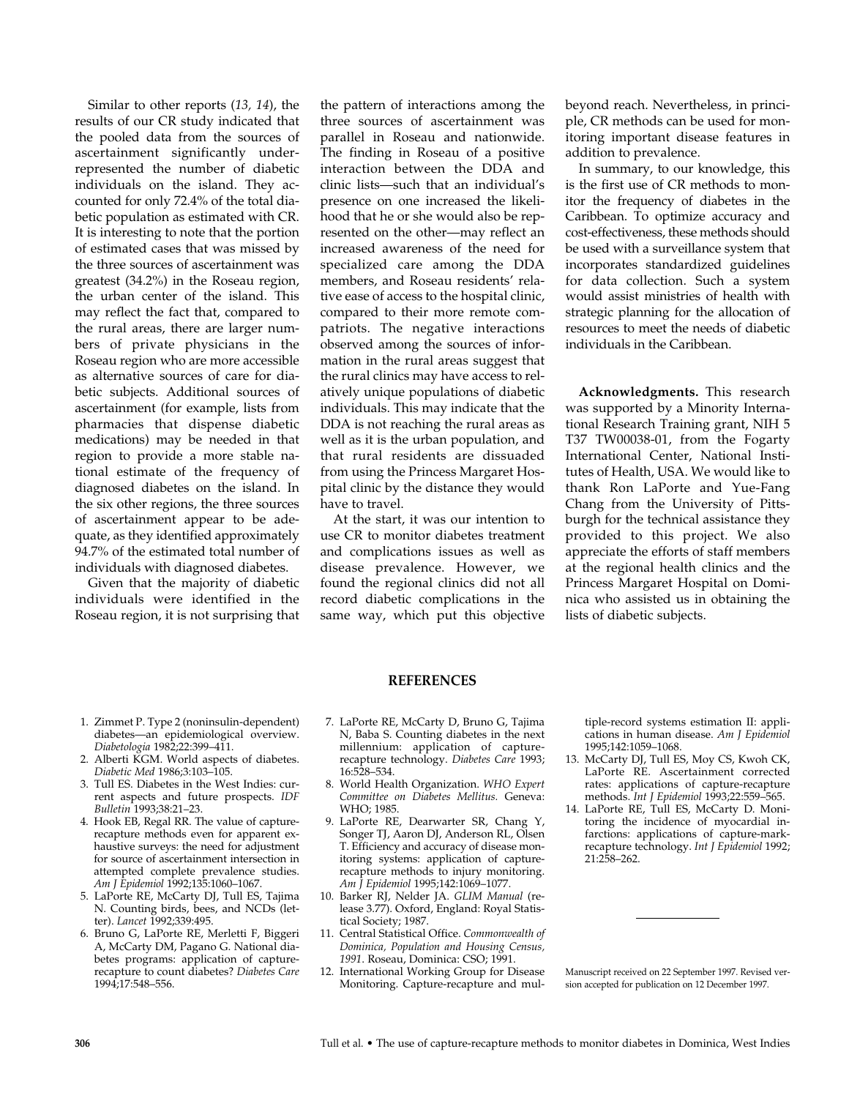Similar to other reports (*13, 14*), the results of our CR study indicated that the pooled data from the sources of ascertainment significantly underrepresented the number of diabetic individuals on the island. They accounted for only 72.4% of the total diabetic population as estimated with CR. It is interesting to note that the portion of estimated cases that was missed by the three sources of ascertainment was greatest (34.2%) in the Roseau region, the urban center of the island. This may reflect the fact that, compared to the rural areas, there are larger numbers of private physicians in the Roseau region who are more accessible as alternative sources of care for diabetic subjects. Additional sources of ascertainment (for example, lists from pharmacies that dispense diabetic medications) may be needed in that region to provide a more stable national estimate of the frequency of diagnosed diabetes on the island. In the six other regions, the three sources of ascertainment appear to be adequate, as they identified approximately 94.7% of the estimated total number of individuals with diagnosed diabetes.

Given that the majority of diabetic individuals were identified in the Roseau region, it is not surprising that

the pattern of interactions among the three sources of ascertainment was parallel in Roseau and nationwide. The finding in Roseau of a positive interaction between the DDA and clinic lists—such that an individual's presence on one increased the likelihood that he or she would also be represented on the other—may reflect an increased awareness of the need for specialized care among the DDA members, and Roseau residents' relative ease of access to the hospital clinic, compared to their more remote compatriots. The negative interactions observed among the sources of information in the rural areas suggest that the rural clinics may have access to relatively unique populations of diabetic individuals. This may indicate that the DDA is not reaching the rural areas as well as it is the urban population, and that rural residents are dissuaded from using the Princess Margaret Hospital clinic by the distance they would have to travel.

At the start, it was our intention to use CR to monitor diabetes treatment and complications issues as well as disease prevalence. However, we found the regional clinics did not all record diabetic complications in the same way, which put this objective

beyond reach. Nevertheless, in principle, CR methods can be used for monitoring important disease features in addition to prevalence.

In summary, to our knowledge, this is the first use of CR methods to monitor the frequency of diabetes in the Caribbean. To optimize accuracy and cost-effectiveness, these methods should be used with a surveillance system that incorporates standardized guidelines for data collection. Such a system would assist ministries of health with strategic planning for the allocation of resources to meet the needs of diabetic individuals in the Caribbean.

**Acknowledgments.** This research was supported by a Minority International Research Training grant, NIH 5 T37 TW00038-01, from the Fogarty International Center, National Institutes of Health, USA. We would like to thank Ron LaPorte and Yue-Fang Chang from the University of Pittsburgh for the technical assistance they provided to this project. We also appreciate the efforts of staff members at the regional health clinics and the Princess Margaret Hospital on Dominica who assisted us in obtaining the lists of diabetic subjects.

#### **REFERENCES**

- 1. Zimmet P. Type 2 (noninsulin-dependent) diabetes—an epidemiological overview. *Diabetologia* 1982;22:399–411.
- 2. Alberti KGM. World aspects of diabetes. *Diabetic Med* 1986;3:103–105.
- 3. Tull ES. Diabetes in the West Indies: current aspects and future prospects. *IDF Bulletin* 1993;38:21–23.
- 4. Hook EB, Regal RR. The value of capturerecapture methods even for apparent exhaustive surveys: the need for adjustment for source of ascertainment intersection in attempted complete prevalence studies. *Am J Epidemiol* 1992;135:1060–1067.
- 5. LaPorte RE, McCarty DJ, Tull ES, Tajima N. Counting birds, bees, and NCDs (letter). *Lancet* 1992;339:495.
- 6. Bruno G, LaPorte RE, Merletti F, Biggeri A, McCarty DM, Pagano G. National diabetes programs: application of capturerecapture to count diabetes? *Diabetes Care* 1994;17:548–556.
- 7. LaPorte RE, McCarty D, Bruno G, Tajima N, Baba S. Counting diabetes in the next millennium: application of capturerecapture technology. *Diabetes Care* 1993; 16:528–534.
- 8. World Health Organization. *WHO Expert Committee on Diabetes Mellitus.* Geneva: WHO; 1985.
- 9. LaPorte RE, Dearwarter SR, Chang Y, Songer TJ, Aaron DJ, Anderson RL, Olsen T. Efficiency and accuracy of disease monitoring systems: application of capturerecapture methods to injury monitoring. *Am J Epidemiol* 1995;142:1069–1077.
- 10. Barker RJ, Nelder JA. *GLIM Manual* (release 3.77). Oxford, England: Royal Statistical Society; 1987.
- 11. Central Statistical Office. *Commonwealth of Dominica, Population and Housing Census, 1991*. Roseau, Dominica: CSO; 1991.
- 12. International Working Group for Disease Monitoring. Capture-recapture and mul-

tiple-record systems estimation II: applications in human disease. *Am J Epidemiol* 1995;142:1059–1068.

- 13. McCarty DJ, Tull ES, Moy CS, Kwoh CK, LaPorte RE. Ascertainment corrected rates: applications of capture-recapture methods. *Int J Epidemiol* 1993;22:559–565.
- 14. LaPorte RE, Tull ES, McCarty D. Monitoring the incidence of myocardial infarctions: applications of capture-markrecapture technology. *Int J Epidemiol* 1992; 21:258–262.

Manuscript received on 22 September 1997. Revised version accepted for publication on 12 December 1997.